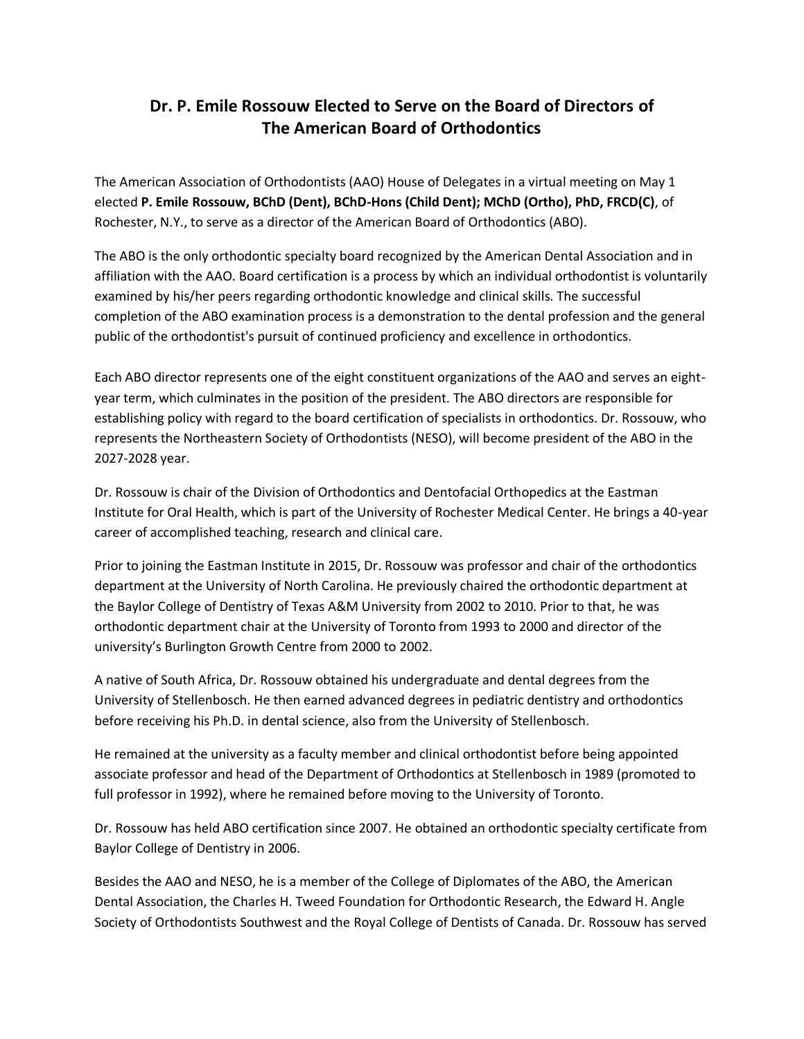## **Dr. P. Emile Rossouw Elected to Serve on the Board of Directors of The American Board of Orthodontics**

The American Association of Orthodontists (AAO) House of Delegates in a virtual meeting on May 1 elected **P. Emile Rossouw, BChD (Dent), BChD-Hons (Child Dent); MChD (Ortho), PhD, FRCD(C)**, of Rochester, N.Y., to serve as a director of the American Board of Orthodontics (ABO).

The ABO is the only orthodontic specialty board recognized by the American Dental Association and in affiliation with the AAO. Board certification is a process by which an individual orthodontist is voluntarily examined by his/her peers regarding orthodontic knowledge and clinical skills. The successful completion of the ABO examination process is a demonstration to the dental profession and the general public of the orthodontist's pursuit of continued proficiency and excellence in orthodontics.

Each ABO director represents one of the eight constituent organizations of the AAO and serves an eightyear term, which culminates in the position of the president. The ABO directors are responsible for establishing policy with regard to the board certification of specialists in orthodontics. Dr. Rossouw, who represents the Northeastern Society of Orthodontists (NESO), will become president of the ABO in the 2027-2028 year.

Dr. Rossouw is chair of the Division of Orthodontics and Dentofacial Orthopedics at the Eastman Institute for Oral Health, which is part of the University of Rochester Medical Center. He brings a 40-year career of accomplished teaching, research and clinical care.

Prior to joining the Eastman Institute in 2015, Dr. Rossouw was professor and chair of the orthodontics department at the University of North Carolina. He previously chaired the orthodontic department at the Baylor College of Dentistry of Texas A&M University from 2002 to 2010. Prior to that, he was orthodontic department chair at the University of Toronto from 1993 to 2000 and director of the university's Burlington Growth Centre from 2000 to 2002.

A native of South Africa, Dr. Rossouw obtained his undergraduate and dental degrees from the University of Stellenbosch. He then earned advanced degrees in pediatric dentistry and orthodontics before receiving his Ph.D. in dental science, also from the University of Stellenbosch.

He remained at the university as a faculty member and clinical orthodontist before being appointed associate professor and head of the Department of Orthodontics at Stellenbosch in 1989 (promoted to full professor in 1992), where he remained before moving to the University of Toronto.

Dr. Rossouw has held ABO certification since 2007. He obtained an orthodontic specialty certificate from Baylor College of Dentistry in 2006.

Besides the AAO and NESO, he is a member of the College of Diplomates of the ABO, the American Dental Association, the Charles H. Tweed Foundation for Orthodontic Research, the Edward H. Angle Society of Orthodontists Southwest and the Royal College of Dentists of Canada. Dr. Rossouw has served